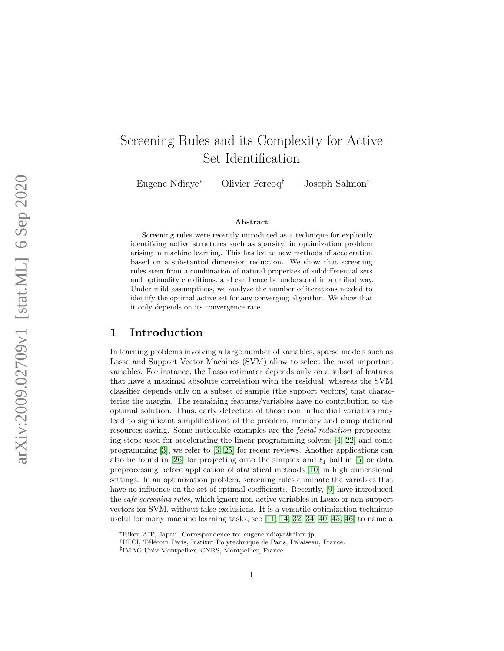# Screening Rules and its Complexity for Active Set Identification

Eugene Ndiaye

Olivier Fercoq<sup>†</sup>

† Joseph Salmon ‡

#### Abstract

Screening rules were recently introduced as a technique for explicitly identifying active structures such as sparsity, in optimization problem arising in machine learning. This has led to new methods of acceleration based on a substantial dimension reduction. We show that screening rules stem from a combination of natural properties of subdifferential sets and optimality conditions, and can hence be understood in a unified way. Under mild assumptions, we analyze the number of iterations needed to identify the optimal active set for any converging algorithm. We show that it only depends on its convergence rate.

### 1 Introduction

In learning problems involving a large number of variables, sparse models such as Lasso and Support Vector Machines (SVM) allow to select the most important variables. For instance, the Lasso estimator depends only on a subset of features that have a maximal absolute correlation with the residual; whereas the SVM classifier depends only on a subset of sample (the support vectors) that characterize the margin. The remaining features/variables have no contribution to the optimal solution. Thus, early detection of those non influential variables may lead to significant simplifications of the problem, memory and computational resources saving. Some noticeable examples are the facial reduction preprocessing steps used for accelerating the linear programming solvers [\[4,](#page-20-0) [22\]](#page-21-0) and conic programming [ [3\]](#page-20-1), we refer to [ [6](#page-20-2) , [25\]](#page-21-1) for recent reviews. Another applications can also be found in [\[26\]](#page-21-2) for projecting onto the simplex and  $\ell_1$  ball in [[5\]](#page-20-3) or data preprocessing before application of statistical methods [\[10\]](#page-20-4) in high dimensional settings. In an optimization problem, screening rules eliminate the variables that have no influence on the set of optimal coefficients. Recently, [ [9\]](#page-20-5) have introduced the safe screening rules, which ignore non-active variables in Lasso or non-support vectors for SVM, without false exclusions. It is a versatile optimization technique useful for many machine learning tasks, see  $[11, 14, 32, 34, 40, 45, 46]$  $[11, 14, 32, 34, 40, 45, 46]$  $[11, 14, 32, 34, 40, 45, 46]$  $[11, 14, 32, 34, 40, 45, 46]$  $[11, 14, 32, 34, 40, 45, 46]$  $[11, 14, 32, 34, 40, 45, 46]$  $[11, 14, 32, 34, 40, 45, 46]$  $[11, 14, 32, 34, 40, 45, 46]$  $[11, 14, 32, 34, 40, 45, 46]$  $[11, 14, 32, 34, 40, 45, 46]$  $[11, 14, 32, 34, 40, 45, 46]$  $[11, 14, 32, 34, 40, 45, 46]$  to name a

<sup>∗</sup>Riken AIP, Japan. Correspondence to: eugene.ndiaye@riken.jp

<sup>&</sup>lt;sup>†</sup>LTCI, Télécom Paris, Institut Polytechnique de Paris, Palaiseau, France.

<sup>‡</sup> IMAG,Univ Montpellier, CNRS, Montpellier, France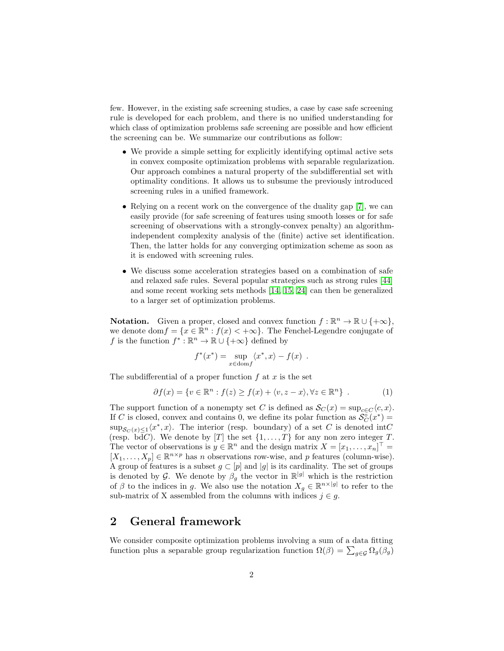few. However, in the existing safe screening studies, a case by case safe screening rule is developed for each problem, and there is no unified understanding for which class of optimization problems safe screening are possible and how efficient the screening can be. We summarize our contributions as follow:

- We provide a simple setting for explicitly identifying optimal active sets in convex composite optimization problems with separable regularization. Our approach combines a natural property of the subdifferential set with optimality conditions. It allows us to subsume the previously introduced screening rules in a unified framework.
- Relying on a recent work on the convergence of the duality gap [\[7\]](#page-20-7), we can easily provide (for safe screening of features using smooth losses or for safe screening of observations with a strongly-convex penalty) an algorithmindependent complexity analysis of the (finite) active set identification. Then, the latter holds for any converging optimization scheme as soon as it is endowed with screening rules.
- We discuss some acceleration strategies based on a combination of safe and relaxed safe rules. Several popular strategies such as strong rules [\[44\]](#page-23-2) and some recent working sets methods [\[14,](#page-21-3) [15,](#page-21-4) [24\]](#page-21-5) can then be generalized to a larger set of optimization problems.

**Notation.** Given a proper, closed and convex function  $f : \mathbb{R}^n \to \mathbb{R} \cup \{+\infty\}$ , we denote dom $f = \{x \in \mathbb{R}^n : f(x) < +\infty\}$ . The Fenchel-Legendre conjugate of f is the function  $f^* : \mathbb{R}^n \to \mathbb{R} \cup \{+\infty\}$  defined by

<span id="page-1-0"></span>
$$
f^*(x^*) = \sup_{x \in \text{dom} f} \langle x^*, x \rangle - f(x) .
$$

The subdifferential of a proper function  $f$  at  $x$  is the set

$$
\partial f(x) = \{ v \in \mathbb{R}^n : f(z) \ge f(x) + \langle v, z - x \rangle, \forall z \in \mathbb{R}^n \} .
$$
 (1)

The support function of a nonempty set C is defined as  $\mathcal{S}_C(x) = \sup_{c \in C} \langle c, x \rangle$ . If C is closed, convex and contains 0, we define its polar function as  $S_C^{\circ}(x^*) =$  $\sup_{S_C(x)\leq 1}\langle x^*,x\rangle$ . The interior (resp. boundary) of a set C is denoted intC (resp. bd $\overline{d}C$ ). We denote by [T] the set  $\{1,\ldots,T\}$  for any non zero integer T. The vector of observations is  $y \in \mathbb{R}^n$  and the design matrix  $X = [x_1, \ldots, x_n]^\top =$  $[X_1, \ldots, X_p] \in \mathbb{R}^{n \times p}$  has *n* observations row-wise, and *p* features (column-wise). A group of features is a subset  $g \subset [p]$  and  $|g|$  is its cardinality. The set of groups is denoted by G. We denote by  $\beta_g$  the vector in  $\mathbb{R}^{|g|}$  which is the restriction of  $\beta$  to the indices in g. We also use the notation  $X_g \in \mathbb{R}^{n \times |g|}$  to refer to the sub-matrix of X assembled from the columns with indices  $j \in g$ .

# 2 General framework

We consider composite optimization problems involving a sum of a data fitting function plus a separable group regularization function  $\Omega(\beta) = \sum_{g \in \mathcal{G}} \Omega_g(\beta_g)$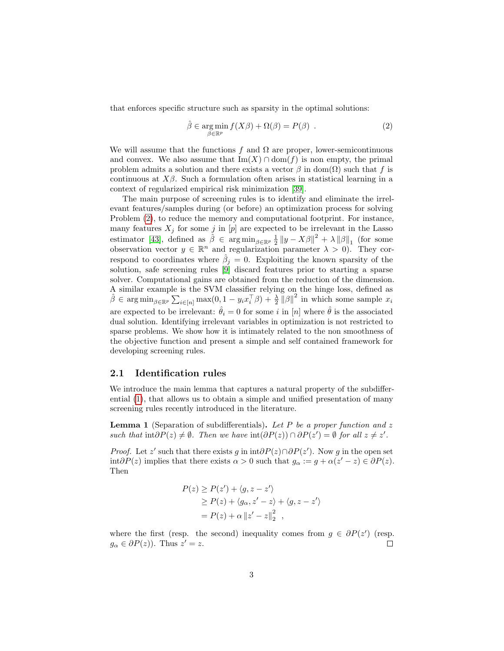that enforces specific structure such as sparsity in the optimal solutions:

<span id="page-2-0"></span>
$$
\hat{\beta} \in \underset{\beta \in \mathbb{R}^p}{\text{arg min}} \ f(X\beta) + \Omega(\beta) = P(\beta) \ . \tag{2}
$$

We will assume that the functions f and  $\Omega$  are proper, lower-semicontinuous and convex. We also assume that  $\text{Im}(X) \cap \text{dom}(f)$  is non empty, the primal problem admits a solution and there exists a vector  $\beta$  in dom( $\Omega$ ) such that f is continuous at  $X\beta$ . Such a formulation often arises in statistical learning in a context of regularized empirical risk minimization [\[39\]](#page-22-3).

The main purpose of screening rules is to identify and eliminate the irrelevant features/samples during (or before) an optimization process for solving Problem [\(2\)](#page-2-0), to reduce the memory and computational footprint. For instance, many features  $X_j$  for some j in  $[p]$  are expected to be irrelevant in the Lasso estimator [\[43\]](#page-23-3), defined as  $\hat{\beta} \in \arg \min_{\beta \in \mathbb{R}^p} \frac{1}{2} ||y - X\beta||^2 + \lambda ||\beta||_1$  (for some observation vector  $y \in \mathbb{R}^n$  and regularization parameter  $\lambda > 0$ . They correspond to coordinates where  $\hat{\beta}_j = 0$ . Exploiting the known sparsity of the solution, safe screening rules [\[9\]](#page-20-5) discard features prior to starting a sparse solver. Computational gains are obtained from the reduction of the dimension. A similar example is the SVM classifier relying on the hinge loss, defined as  $\hat{\beta} \in \arg \min_{\beta \in \mathbb{R}^p} \sum_{i \in [n]} \max(0, 1 - y_i x_i^{\top} \beta) + \frac{\lambda}{2} ||\beta||^2$  in which some sample  $x_i$ are expected to be irrelevant:  $\hat{\theta}_i = 0$  for some i in [n] where  $\hat{\theta}$  is the associated dual solution. Identifying irrelevant variables in optimization is not restricted to sparse problems. We show how it is intimately related to the non smoothness of the objective function and present a simple and self contained framework for developing screening rules.

#### 2.1 Identification rules

We introduce the main lemma that captures a natural property of the subdifferential [\(1\)](#page-1-0), that allows us to obtain a simple and unified presentation of many screening rules recently introduced in the literature.

<span id="page-2-1"></span>**Lemma 1** (Separation of subdifferentials). Let P be a proper function and z such that  $\text{int}\partial P(z) \neq \emptyset$ . Then we have  $\text{int}(\partial P(z)) \cap \partial P(z') = \emptyset$  for all  $z \neq z'$ .

*Proof.* Let z' such that there exists g in  $int \partial P(z) \cap \partial P(z')$ . Now g in the open set int $\partial P(z)$  implies that there exists  $\alpha > 0$  such that  $g_{\alpha} := g + \alpha(z' - z) \in \partial P(z)$ . Then

$$
P(z) \ge P(z') + \langle g, z - z' \rangle
$$
  
\n
$$
\ge P(z) + \langle g_{\alpha}, z' - z \rangle + \langle g, z - z' \rangle
$$
  
\n
$$
= P(z) + \alpha ||z' - z||_2^2 ,
$$

where the first (resp. the second) inequality comes from  $g \in \partial P(z')$  (resp.  $g_{\alpha} \in \partial P(z)$ ). Thus  $z' = z$ .  $\Box$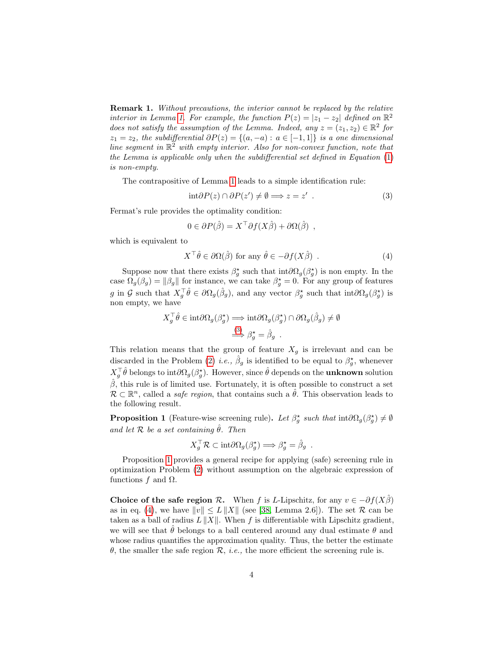Remark 1. Without precautions, the interior cannot be replaced by the relative interior in Lemma [1.](#page-2-1) For example, the function  $P(z) = |z_1 - z_2|$  defined on  $\mathbb{R}^2$ does not satisfy the assumption of the Lemma. Indeed, any  $z = (z_1, z_2) \in \mathbb{R}^2$  for  $z_1 = z_2$ , the subdifferential  $\partial P(z) = \{(a, -a) : a \in [-1, 1]\}$  is a one dimensional line segment in  $\mathbb{R}^2$  with empty interior. Also for non-convex function, note that the Lemma is applicable only when the subdifferential set defined in Equation [\(1\)](#page-1-0) is non-empty.

The contrapositive of Lemma [1](#page-2-1) leads to a simple identification rule:

<span id="page-3-0"></span>
$$
int \partial P(z) \cap \partial P(z') \neq \emptyset \Longrightarrow z = z' . \tag{3}
$$

Fermat's rule provides the optimality condition:

<span id="page-3-2"></span>
$$
0 \in \partial P(\hat{\beta}) = X^{\top} \partial f(X\hat{\beta}) + \partial \Omega(\hat{\beta}) ,
$$

which is equivalent to

$$
X^{\top}\hat{\theta} \in \partial\Omega(\hat{\beta}) \text{ for any } \hat{\theta} \in -\partial f(X\hat{\beta}) . \tag{4}
$$

Suppose now that there exists  $\beta_g^*$  such that  $int \partial \Omega_g(\beta_g^*)$  is non empty. In the case  $\Omega_g(\beta_g) = ||\beta_g||$  for instance, we can take  $\beta_g^* = 0$ . For any group of features g in G such that  $X_g^{\top} \hat{\theta} \in \partial \Omega_g(\hat{\beta}_g)$ , and any vector  $\beta_g^*$  such that  $\text{int} \partial \Omega_g(\beta_g^*)$  is non empty, we have

$$
X_g^{\top} \hat{\theta} \in \text{int} \partial \Omega_g(\beta_g^{\star}) \Longrightarrow \text{int} \partial \Omega_g(\beta_g^{\star}) \cap \partial \Omega_g(\hat{\beta}_g) \neq \emptyset
$$
  

$$
\stackrel{(3)}{\Longrightarrow} \beta_g^{\star} = \hat{\beta}_g.
$$

This relation means that the group of feature  $X_g$  is irrelevant and can be discarded in the Problem [\(2\)](#page-2-0) *i.e.*,  $\hat{\beta}_g$  is identified to be equal to  $\beta_g^*$ , whenever  $X_g^{\top} \hat{\theta}$  belongs to int $\partial \Omega_g(\beta_g^*)$ . However, since  $\hat{\theta}$  depends on the **unknown** solution  $\hat{\beta}$ , this rule is of limited use. Fortunately, it is often possible to construct a set  $\mathcal{R} \subset \mathbb{R}^n$ , called a *safe region*, that contains such a  $\hat{\theta}$ . This observation leads to the following result.

<span id="page-3-1"></span>**Proposition 1** (Feature-wise screening rule). Let  $\beta_g^*$  such that  $\text{int}\partial\Omega_g(\beta_g^*) \neq \emptyset$ and let  $R$  be a set containing  $\hat{\theta}$ . Then

$$
X_g^{\top} \mathcal{R} \subset \mathrm{int} \partial \Omega_g(\beta_g^{\star}) \Longrightarrow \beta_g^{\star} = \hat{\beta}_g.
$$

Proposition [1](#page-3-1) provides a general recipe for applying (safe) screening rule in optimization Problem [\(2\)](#page-2-0) without assumption on the algebraic expression of functions  $f$  and  $\Omega$ .

Choice of the safe region R. When f is L-Lipschitz, for any  $v \in -\partial f(X\beta)$ as in eq. [\(4\)](#page-3-2), we have  $||v|| \le L||X||$  (see [\[38,](#page-22-4) Lemma 2.6]). The set R can be taken as a ball of radius  $L||X||$ . When f is differentiable with Lipschitz gradient, we will see that  $\hat{\theta}$  belongs to a ball centered around any dual estimate  $\theta$  and whose radius quantifies the approximation quality. Thus, the better the estimate θ, the smaller the safe region  $\mathcal{R}$ , *i.e.*, the more efficient the screening rule is.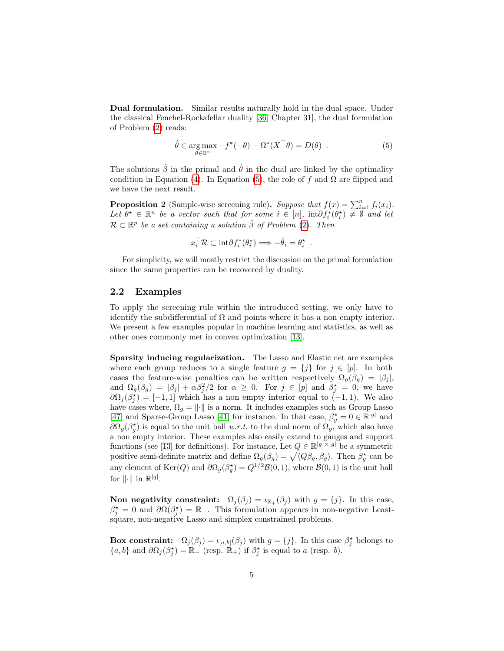Dual formulation. Similar results naturally hold in the dual space. Under the classical Fenchel-Rockafellar duality [\[36,](#page-22-5) Chapter 31], the dual formulation of Problem [\(2\)](#page-2-0) reads:

<span id="page-4-0"></span>
$$
\hat{\theta} \in \underset{\theta \in \mathbb{R}^n}{\arg \max} -f^*(-\theta) - \Omega^*(X^\top \theta) = D(\theta) \quad . \tag{5}
$$

The solutions  $\hat{\beta}$  in the primal and  $\hat{\theta}$  in the dual are linked by the optimality condition in Equation [\(4\)](#page-3-2). In Equation [\(5\)](#page-4-0), the role of f and  $\Omega$  are flipped and we have the next result.

<span id="page-4-1"></span>**Proposition 2** (Sample-wise screening rule). Suppose that  $f(x) = \sum_{i=1}^{n} f_i(x_i)$ . Let  $\theta^* \in \mathbb{R}^n$  be a vector such that for some  $i \in [n]$ ,  $int \partial f_i^*(\theta_i^*) \neq \emptyset$  and let  $\mathcal{R} \subset \mathbb{R}^p$  be a set containing a solution  $\hat{\beta}$  of Problem [\(2\)](#page-2-0). Then

$$
x_i^{\top} \mathcal{R} \subset \mathrm{int} \partial f_i^*(\theta_i^*) \Longrightarrow -\hat{\theta}_i = \theta_i^* .
$$

For simplicity, we will mostly restrict the discussion on the primal formulation since the same properties can be recovered by duality.

#### 2.2 Examples

To apply the screening rule within the introduced setting, we only have to identify the subdifferential of  $\Omega$  and points where it has a non empty interior. We present a few examples popular in machine learning and statistics, as well as other ones commonly met in convex optimization [\[13\]](#page-21-6).

Sparsity inducing regularization. The Lasso and Elastic net are examples where each group reduces to a single feature  $g = \{j\}$  for  $j \in [p]$ . In both cases the feature-wise penalties can be written respectively  $\Omega_g(\beta_g) = |\beta_j|$ , and  $\Omega_g(\beta_g) = |\beta_j| + \alpha \beta_j^2/2$  for  $\alpha \geq 0$ . For  $j \in [p]$  and  $\beta_j^* = 0$ , we have  $\partial\Omega_j(\beta_j^*) = [-1,1]$  which has a non empty interior equal to  $(-1,1)$ . We also have cases where,  $\Omega_g = ||\cdot||$  is a norm. It includes examples such as Group Lasso [\[47\]](#page-23-4) and Sparse-Group Lasso [\[41\]](#page-22-6) for instance. In that case,  $\beta_g^* = 0 \in \mathbb{R}^{|g|}$  and  $\partial\Omega_g(\beta_g^{\star})$  is equal to the unit ball w.r.t. to the dual norm of  $\Omega_g$ , which also have a non empty interior. These examples also easily extend to gauges and support functions (see [\[13\]](#page-21-6) for definitions). For instance, Let  $Q \in \mathbb{R}^{|g| \times |g|}$  be a symmetric positive semi-definite matrix and define  $\Omega_g(\beta_g) = \sqrt{\langle Q\beta_g, \beta_g \rangle}$ . Then  $\beta_g^*$  can be any element of Ker $(Q)$  and  $\partial \Omega_g(\beta_g^*) = Q^{1/2} \mathcal{B}(0,1)$ , where  $\mathcal{B}(0,1)$  is the unit ball for  $\|\cdot\|$  in  $\mathbb{R}^{|q|}$ .

Non negativity constraint:  $\Omega_j(\beta_j) = \iota_{\mathbb{R}_+}(\beta_j)$  with  $g = \{j\}$ . In this case,  $\beta_j^* = 0$  and  $\partial \Omega(\beta_j^*) = \mathbb{R}_-$ . This formulation appears in non-negative Leastsquare, non-negative Lasso and simplex constrained problems.

Box constraint:  $\Omega_j(\beta_j) = \iota_{[a,b]}(\beta_j)$  with  $g = \{j\}$ . In this case  $\beta_j^*$  belongs to  $\{a, b\}$  and  $\partial\Omega_j(\beta_j^*) = \mathbb{R}_{-}$  (resp.  $\mathbb{R}_{+}$ ) if  $\beta_j^*$  is equal to a (resp. b).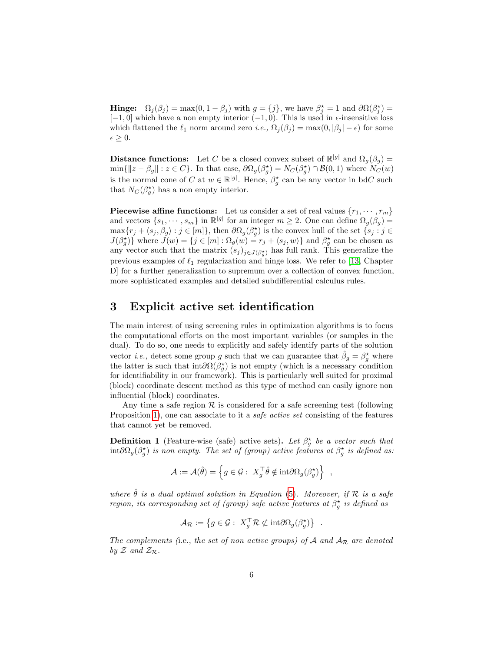**Hinge:**  $\Omega_j(\beta_j) = \max(0, 1 - \beta_j)$  with  $g = \{j\}$ , we have  $\beta_j^* = 1$  and  $\partial \Omega(\beta_j^*) =$  $[-1, 0]$  which have a non empty interior  $(-1, 0)$ . This is used in  $\epsilon$ -insensitive loss which flattened the  $\ell_1$  norm around zero i.e.,  $\Omega_i(\beta_i) = \max(0, |\beta_i| - \epsilon)$  for some  $\epsilon \geq 0.$ 

**Distance functions:** Let C be a closed convex subset of  $\mathbb{R}^{|g|}$  and  $\Omega_g(\beta_g)$  =  $\min\{\|z-\beta_g\| : z \in C\}$ . In that case,  $\partial\Omega_g(\beta_g^{\star}) = N_C(\beta_g^{\star}) \cap \mathcal{B}(0,1)$  where  $N_C(w)$ is the normal cone of C at  $w \in \mathbb{R}^{|g|}$ . Hence,  $\beta_g^*$  can be any vector in bdC such that  $N_C(\beta_g^{\star})$  has a non empty interior.

**Piecewise affine functions:** Let us consider a set of real values  $\{r_1, \dots, r_m\}$ and vectors  $\{s_1, \dots, s_m\}$  in  $\mathbb{R}^{|g|}$  for an integer  $m \geq 2$ . One can define  $\Omega_g(\beta_g)$  =  $\max\{r_j+ \langle s_j, \beta_g\rangle : j\in [m]\},$  then  $\partial\Omega_g(\beta_g^{\star})$  is the convex hull of the set  $\{s_j : j\in [m]\}$  $J(\beta_g^{\star})\}$  where  $J(w) = \{j \in [m] : \Omega_g(w) = r_j + \langle s_j, w \rangle\}$  and  $\beta_g^{\star}$  can be chosen as any vector such that the matrix  $(s_j)_{j\in J(\beta_j^*)}$  has full rank. This generalize the previous examples of  $\ell_1$  regularization and hinge loss. We refer to [\[13,](#page-21-6) Chapter D] for a further generalization to supremum over a collection of convex function, more sophisticated examples and detailed subdifferential calculus rules.

# 3 Explicit active set identification

The main interest of using screening rules in optimization algorithms is to focus the computational efforts on the most important variables (or samples in the dual). To do so, one needs to explicitly and safely identify parts of the solution vector *i.e.*, detect some group g such that we can guarantee that  $\hat{\beta}_g = \beta_g^*$  where the latter is such that  $int \partial \Omega(\beta_g^{\star})$  is not empty (which is a necessary condition for identifiability in our framework). This is particularly well suited for proximal (block) coordinate descent method as this type of method can easily ignore non influential (block) coordinates.

Any time a safe region  $\mathcal R$  is considered for a safe screening test (following Proposition [1\)](#page-3-1), one can associate to it a *safe active set* consisting of the features that cannot yet be removed.

**Definition 1** (Feature-wise (safe) active sets). Let  $\beta_g^*$  be a vector such that  $\int \int \int \int \phi(\beta_g)$  is non empty. The set of (group) active features at  $\beta_g^{\star}$  is defined as:

$$
\mathcal{A}:=\mathcal{A}(\hat{\theta})=\left\{g\in\mathcal{G}:\ X_g^\top\hat{\theta}\notin\mathrm{int}\partial\Omega_g(\beta_g^\star)\right\}\ ,
$$

where  $\hat{\theta}$  is a dual optimal solution in Equation [\(5\)](#page-4-0). Moreover, if R is a safe region, its corresponding set of (group) safe active features at  $\beta_g^*$  is defined as

$$
\mathcal{A}_{\mathcal{R}} := \left\{ g \in \mathcal{G} : X_g^\top \mathcal{R} \not\subset \text{int} \partial \Omega_g(\beta_g^{\star}) \right\} .
$$

The complements (i.e., the set of non active groups) of A and  $A_{\mathcal{R}}$  are denoted by  $\mathcal Z$  and  $\mathcal Z_{\mathcal R}$ .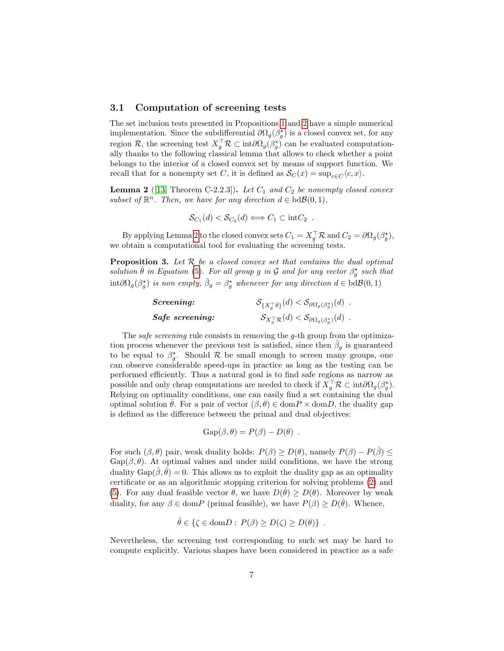#### 3.1 Computation of screening tests

The set inclusion tests presented in Propositions [1](#page-3-1) and [2](#page-4-1) have a simple numerical implementation. Since the subdifferential  $\partial \Omega_g(\beta_g^*)$  is a closed convex set, for any region R, the screening test  $X_g^{\top} \mathcal{R} \subset \text{int} \partial \Omega_g(\beta_g^*)$  can be evaluated computationally thanks to the following classical lemma that allows to check whether a point belongs to the interior of a closed convex set by means of support function. We recall that for a nonempty set C, it is defined as  $\mathcal{S}_C(x) = \sup_{c \in C} \langle c, x \rangle$ .

<span id="page-6-0"></span>**Lemma 2** ([\[13,](#page-21-6) Theorem C-2.2.3]). Let  $C_1$  and  $C_2$  be nonempty closed convex subset of  $\mathbb{R}^n$ . Then, we have for any direction  $d \in \text{bd}\mathcal{B}(0,1)$ ,

$$
\mathcal{S}_{C_1}(d) < \mathcal{S}_{C_2}(d) \Longleftrightarrow C_1 \subset \text{int}C_2 .
$$

By applying Lemma [2](#page-6-0) to the closed convex sets  $C_1 = X_g^{\top} \mathcal{R}$  and  $C_2 = \partial \Omega_g(\beta_g^{\star}),$ we obtain a computational tool for evaluating the screening tests.

**Proposition 3.** Let  $R$  be a closed convex set that contains the dual optimal solution  $\hat{\theta}$  in Equation [\(5\)](#page-4-0). For all group g in G and for any vector  $\beta_g^{\star}$  such that  $\int \int \text{int} \partial \Omega_g(\beta_g^{\star})$  is non empty,  $\hat{\beta}_g = \beta_g^{\star}$  whenever for any direction  $d \in \text{bd}\mathcal{B}(0,1)$ 

| <i>Screening:</i> | $S_{\{X_a^{\top}\hat{\theta}\}}(d) < S_{\partial\Omega_g(\beta_g^*)}(d)$ .                        |  |
|-------------------|---------------------------------------------------------------------------------------------------|--|
| Safe screening:   | $\mathcal{S}_{X_q^{\top} \mathcal{R}}(d) < \mathcal{S}_{\partial \Omega_g(\beta_q^{\star})}(d)$ . |  |

The *safe screening* rule consists in removing the *g*-th group from the optimization process whenever the previous test is satisfied, since then  $\hat{\beta}_g$  is guaranteed to be equal to  $\beta_g^*$ . Should  $\mathcal{R}$  be small enough to screen many groups, one can observe considerable speed-ups in practice as long as the testing can be performed efficiently. Thus a natural goal is to find safe regions as narrow as possible and only cheap computations are needed to check if  $X_g^{\top} \mathcal{R} \subset \text{int} \partial \Omega_g(\beta_g^{\star})$ . Relying on optimality conditions, one can easily find a set containing the dual optimal solution  $\hat{\theta}$ . For a pair of vector  $(\beta, \theta) \in \text{dom} P \times \text{dom} D$ , the duality gap is defined as the difference between the primal and dual objectives:

$$
Gap(\beta, \theta) = P(\beta) - D(\theta) .
$$

For such  $(\beta, \theta)$  pair, weak duality holds:  $P(\beta) \ge D(\theta)$ , namely  $P(\beta) - P(\hat{\beta}) \le$  $Gap(\beta, \theta)$ . At optimal values and under mild conditions, we have the strong duality  $Gap(\hat{\beta}, \hat{\theta}) = 0$ . This allows us to exploit the duality gap as an optimality certificate or as an algorithmic stopping criterion for solving problems [\(2\)](#page-2-0) and [\(5\)](#page-4-0). For any dual feasible vector  $\theta$ , we have  $D(\hat{\theta}) \geq D(\theta)$ . Moreover by weak duality, for any  $\beta \in \text{dom} P$  (primal feasible), we have  $P(\beta) \ge D(\hat{\theta})$ . Whence,

$$
\hat{\theta} \in \{ \zeta \in \text{dom} D : P(\beta) \ge D(\zeta) \ge D(\theta) \} .
$$

Nevertheless, the screening test corresponding to such set may be hard to compute explicitly. Various shapes have been considered in practice as a safe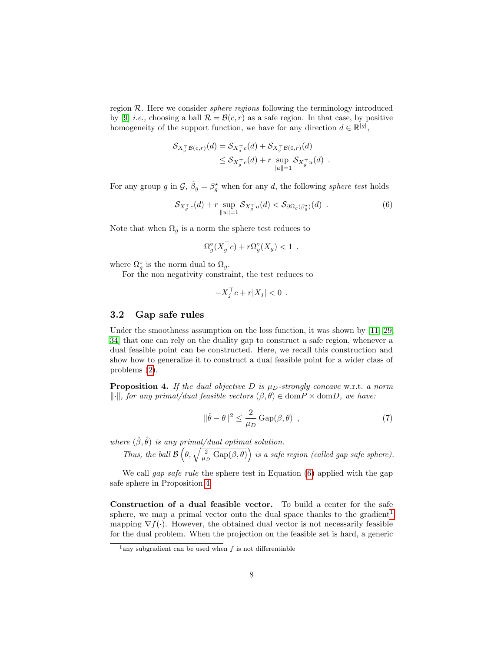region  $R$ . Here we consider *sphere regions* following the terminology introduced by [\[9\]](#page-20-5) *i.e.*, choosing a ball  $\mathcal{R} = \mathcal{B}(c, r)$  as a safe region. In that case, by positive homogeneity of the support function, we have for any direction  $d \in \mathbb{R}^{|g|}$ ,

$$
\mathcal{S}_{X_g^{\top} \mathcal{B}(c,r)}(d) = \mathcal{S}_{X_g^{\top} c}(d) + \mathcal{S}_{X_g^{\top} \mathcal{B}(0,r)}(d)
$$
  

$$
\leq \mathcal{S}_{X_g^{\top} c}(d) + r \sup_{\|u\|=1} \mathcal{S}_{X_g^{\top} u}(d) .
$$

For any group g in  $\mathcal{G}, \hat{\beta}_g = \beta_g^*$  when for any d, the following sphere test holds

$$
\mathcal{S}_{X_g^{\top}c}(d) + r \sup_{\|u\|=1} \mathcal{S}_{X_g^{\top}u}(d) < \mathcal{S}_{\partial\Omega_g(\beta_g^*)}(d) \tag{6}
$$

Note that when  $\Omega_g$  is a norm the sphere test reduces to

<span id="page-7-0"></span>
$$
\Omega_g^{\circ}(X_g^{\top}c) + r\Omega_g^{\circ}(X_g) < 1 \enspace .
$$

where  $\Omega_g^{\circ}$  is the norm dual to  $\Omega_g$ .

For the non negativity constraint, the test reduces to

$$
-X_j^\top c + r|X_j| < 0 \enspace .
$$

#### 3.2 Gap safe rules

Under the smoothness assumption on the loss function, it was shown by [\[11,](#page-20-6) [29,](#page-22-7) [34\]](#page-22-1) that one can rely on the duality gap to construct a safe region, whenever a dual feasible point can be constructed. Here, we recall this construction and show how to generalize it to construct a dual feasible point for a wider class of problems [\(2\)](#page-2-0).

<span id="page-7-1"></span>**Proposition 4.** If the dual objective D is  $\mu_D\text{-strongly concave w.r.t. a norm}$  $\|\cdot\|$ , for any primal/dual feasible vectors  $(\beta, \theta) \in \text{dom} P \times \text{dom} D$ , we have:

$$
\|\hat{\theta} - \theta\|^2 \le \frac{2}{\mu_D} \operatorname{Gap}(\beta, \theta) \tag{7}
$$

where  $(\hat{\beta}, \hat{\theta})$  is any primal/dual optimal solution.

Thus, the ball  $\mathcal{B}\left(\theta,\sqrt{\frac{2}{\mu_D}\text{Gap}(\beta,\theta)}\right)$  is a safe region (called gap safe sphere).

We call *gap safe rule* the sphere test in Equation [\(6\)](#page-7-0) applied with the gap safe sphere in Proposition [4.](#page-7-1)

Construction of a dual feasible vector. To build a center for the safe sphere, we map a primal vector onto the dual space thanks to the gradient<sup>[1](#page-7-2)</sup> mapping  $\nabla f(\cdot)$ . However, the obtained dual vector is not necessarily feasible for the dual problem. When the projection on the feasible set is hard, a generic

<span id="page-7-2"></span><sup>&</sup>lt;sup>1</sup>any subgradient can be used when  $f$  is not differentiable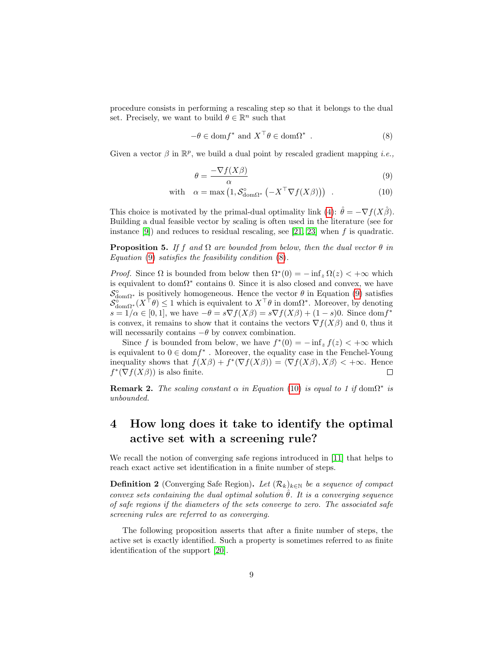procedure consists in performing a rescaling step so that it belongs to the dual set. Precisely, we want to build  $\theta \in \mathbb{R}^n$  such that

<span id="page-8-1"></span>
$$
-\theta \in \text{dom} f^* \text{ and } X^\top \theta \in \text{dom} \Omega^* .
$$
 (8)

Given a vector  $\beta$  in  $\mathbb{R}^p$ , we build a dual point by rescaled gradient mapping *i.e.*,

<span id="page-8-2"></span><span id="page-8-0"></span>
$$
\theta = \frac{-\nabla f(X\beta)}{\alpha} \tag{9}
$$

with 
$$
\alpha = \max (1, \mathcal{S}_{\text{dom}\Omega^*}^{\circ} \left( -X^{\top} \nabla f(X\beta) \right))
$$
. (10)

This choice is motivated by the primal-dual optimality link [\(4\)](#page-3-2):  $\hat{\theta} = -\nabla f(X\hat{\beta})$ . Building a dual feasible vector by scaling is often used in the literature (see for instance [\[9\]](#page-20-5)) and reduces to residual rescaling, see [\[21,](#page-21-7) [23\]](#page-21-8) when f is quadratic.

**Proposition 5.** If f and  $\Omega$  are bounded from below, then the dual vector  $\theta$  in Equation [\(9\)](#page-8-0) satisfies the feasibility condition [\(8\)](#page-8-1).

*Proof.* Since  $\Omega$  is bounded from below then  $\Omega^*(0) = -\inf_z \Omega(z) < +\infty$  which is equivalent to  $dom\Omega^*$  contains 0. Since it is also closed and convex, we have  $S_{\text{dom}\Omega^*}^{\circ}$  is positively homogeneous. Hence the vector  $\theta$  in Equation [\(9\)](#page-8-0) satisfies  $\mathcal{S}_{\text{dom}\Omega^*}^{\circ}(X^{\top}\theta) \leq 1$  which is equivalent to  $X^{\top}\theta$  in dom $\Omega^*$ . Moreover, by denoting  $s = 1/\alpha \in [0, 1]$ , we have  $-\theta = s\nabla f(X\beta) = s\nabla f(X\beta) + (1 - s)0$ . Since dom $f^*$ is convex, it remains to show that it contains the vectors  $\nabla f(X\beta)$  and 0, thus it will necessarily contains  $-\theta$  by convex combination.

Since f is bounded from below, we have  $f^*(0) = -\inf_z f(z) < +\infty$  which is equivalent to  $0 \in \text{dom} f^*$ . Moreover, the equality case in the Fenchel-Young inequality shows that  $f(X\beta) + f^*(\nabla f(X\beta)) = \langle \nabla f(X\beta), X\beta \rangle < +\infty$ . Hence  $f^*(\nabla f(X\beta))$  is also finite.

<span id="page-8-5"></span>**Remark 2.** The scaling constant  $\alpha$  in Equation [\(10\)](#page-8-2) is equal to 1 if dom $\Omega^*$  is unbounded.

# 4 How long does it take to identify the optimal active set with a screening rule?

We recall the notion of converging safe regions introduced in [\[11\]](#page-20-6) that helps to reach exact active set identification in a finite number of steps.

<span id="page-8-3"></span>**Definition 2** (Converging Safe Region). Let  $(\mathcal{R}_k)_{k \in \mathbb{N}}$  be a sequence of compact convex sets containing the dual optimal solution  $\hat{\theta}$ . It is a converging sequence of safe regions if the diameters of the sets converge to zero. The associated safe screening rules are referred to as converging.

<span id="page-8-4"></span>The following proposition asserts that after a finite number of steps, the active set is exactly identified. Such a property is sometimes referred to as finite identification of the support [\[20\]](#page-21-9).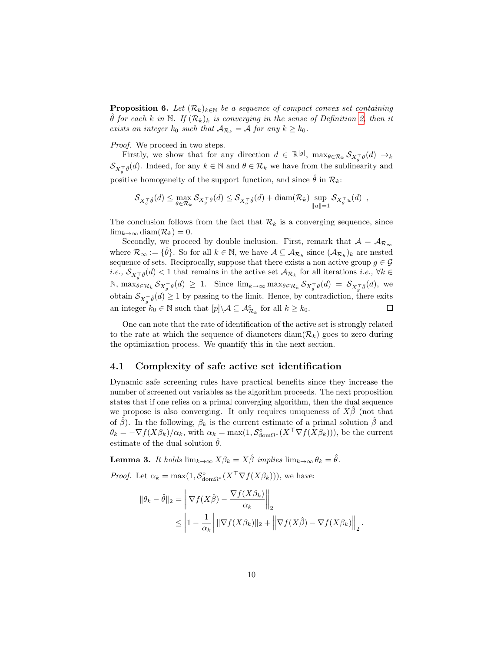**Proposition 6.** Let  $(\mathcal{R}_k)_{k\in\mathbb{N}}$  be a sequence of compact convex set containing  $\hat{\theta}$  for each k in N. If  $(\mathcal{R}_k)_k$  is converging in the sense of Definition [2,](#page-8-3) then it exists an integer  $k_0$  such that  $A_{\mathcal{R}_k} = A$  for any  $k \geq k_0$ .

Proof. We proceed in two steps.

Firstly, we show that for any direction  $d \in \mathbb{R}^{|g|}$ ,  $\max_{\theta \in \mathcal{R}_k} \mathcal{S}_{X_g^{\top} \theta}(d) \to_{k}$  $\mathcal{S}_{X_q^{\top}\hat{\theta}}(d)$ . Indeed, for any  $k \in \mathbb{N}$  and  $\theta \in \mathcal{R}_k$  we have from the sublinearity and positive homogeneity of the support function, and since  $\hat{\theta}$  in  $\mathcal{R}_k$ :

$$
\mathcal{S}_{X_g^{\top}\hat{\theta}}(d) \leq \max_{\theta \in \mathcal{R}_k} \mathcal{S}_{X_g^{\top}\theta}(d) \leq \mathcal{S}_{X_g^{\top}\hat{\theta}}(d) + \text{diam}(\mathcal{R}_k) \sup_{\|u\|=1} \mathcal{S}_{X_g^{\top}u}(d) ,
$$

The conclusion follows from the fact that  $\mathcal{R}_k$  is a converging sequence, since  $\lim_{k\to\infty}$  diam $(\mathcal{R}_k)=0$ .

Secondly, we proceed by double inclusion. First, remark that  $A = A_{\mathcal{R}_{\infty}}$ where  $\mathcal{R}_{\infty} := \{\hat{\theta}\}.$  So for all  $k \in \mathbb{N}$ , we have  $\mathcal{A} \subseteq \mathcal{A}_{\mathcal{R}_k}$  since  $(\mathcal{A}_{\mathcal{R}_k})_k$  are nested sequence of sets. Reciprocally, suppose that there exists a non active group  $g \in \mathcal{G}$ *i.e.*,  $\mathcal{S}_{X_g^{\top}\hat{\theta}}(d) < 1$  that remains in the active set  $\mathcal{A}_{\mathcal{R}_k}$  for all iterations *i.e.*,  $\forall k \in$  $\mathbb{N}, \max_{\theta \in \mathcal{R}_k} \mathcal{S}_{X_g^{\top} \theta}(d) \geq 1$ . Since  $\lim_{k \to \infty} \max_{\theta \in \mathcal{R}_k} \mathcal{S}_{X_g^{\top} \theta}(d) = \mathcal{S}_{X_g^{\top} \hat{\theta}}(d)$ , we obtain  $\mathcal{S}_{X_g^{\top}\hat{\theta}}(d) \geq 1$  by passing to the limit. Hence, by contradiction, there exits an integer  $k_0 \in \mathbb{N}$  such that  $[p] \setminus \mathcal{A} \subseteq \mathcal{A}_{\mathcal{R}_k}^c$  for all  $k \geq k_0$ .  $\Box$ 

One can note that the rate of identification of the active set is strongly related to the rate at which the sequence of diameters  $\text{diam}(\mathcal{R}_k)$  goes to zero during the optimization process. We quantify this in the next section.

#### 4.1 Complexity of safe active set identification

Dynamic safe screening rules have practical benefits since they increase the number of screened out variables as the algorithm proceeds. The next proposition states that if one relies on a primal converging algorithm, then the dual sequence we propose is also converging. It only requires uniqueness of  $X\beta$  (not that of  $\hat{\beta}$ ). In the following,  $\beta_k$  is the current estimate of a primal solution  $\hat{\beta}$  and  $\theta_k = -\nabla f(X\beta_k)/\alpha_k$ , with  $\alpha_k = \max(1, \mathcal{S}_{\text{dom}\Omega^*}^{\circ}(X^{\top}\nabla f(X\beta_k)))$ , be the current estimate of the dual solution  $\hat{\theta}$ .

<span id="page-9-0"></span>**Lemma 3.** It holds  $\lim_{k\to\infty} X\beta_k = X\hat{\beta}$  implies  $\lim_{k\to\infty} \theta_k = \hat{\theta}$ .

*Proof.* Let  $\alpha_k = \max(1, \mathcal{S}_{\text{dom}\Omega^*}^{\circ}(X^{\top}\nabla f(X\beta_k)))$ , we have:

$$
\|\theta_k - \hat{\theta}\|_2 = \left\|\nabla f(X\hat{\beta}) - \frac{\nabla f(X\beta_k)}{\alpha_k}\right\|_2
$$
  

$$
\leq \left|1 - \frac{1}{\alpha_k}\right| \|\nabla f(X\beta_k)\|_2 + \left\|\nabla f(X\hat{\beta}) - \nabla f(X\beta_k)\right\|_2.
$$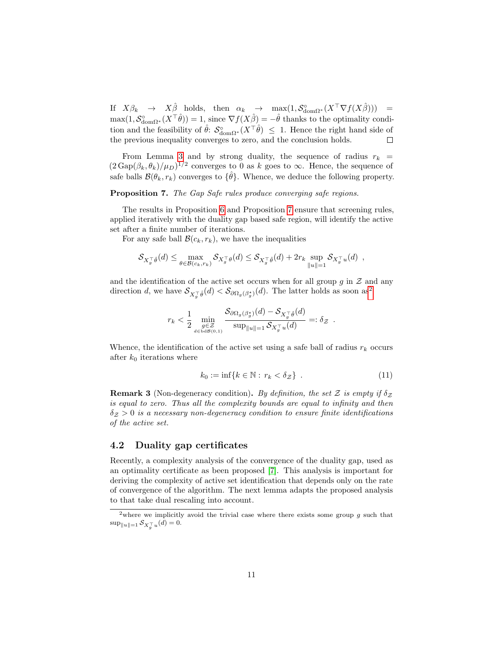If  $X\beta_k \to X\hat{\beta}$  holds, then  $\alpha_k \to \max(1, \mathcal{S}_{\text{dom}\Omega^*}^{\circ}(X^{\top}\nabla f(X\hat{\beta}))) =$  $\max(1, \mathcal{S}_{\text{dom}\Omega^*}^{\circ}(X^{\top}\hat{\theta})) = 1,$  since  $\nabla f(X\hat{\beta}) = -\hat{\theta}$  thanks to the optimality condition and the feasibility of  $\hat{\theta}$ :  $\mathcal{S}_{\text{dom}\Omega^*}^{\circ}(X^{\top}\hat{\theta}) \leq 1$ . Hence the right hand side of the previous inequality converges to zero, and the conclusion holds.

From Lemma [3](#page-9-0) and by strong duality, the sequence of radius  $r_k$  =  $(2 \text{Gap}(\beta_k, \theta_k)/\mu_D)^{1/2}$  converges to 0 as k goes to  $\infty$ . Hence, the sequence of safe balls  $\mathcal{B}(\theta_k, r_k)$  converges to  $\{\hat{\theta}\}$ . Whence, we deduce the following property.

<span id="page-10-0"></span>Proposition 7. The Gap Safe rules produce converging safe regions.

The results in Proposition [6](#page-8-4) and Proposition [7](#page-10-0) ensure that screening rules, applied iteratively with the duality gap based safe region, will identify the active set after a finite number of iterations.

For any safe ball  $\mathcal{B}(c_k, r_k)$ , we have the inequalities

$$
\mathcal{S}_{X_g^{\top}\hat{\theta}}(d) \leq \max_{\theta \in \mathcal{B}(c_k, r_k)} \mathcal{S}_{X_g^{\top}\theta}(d) \leq \mathcal{S}_{X_g^{\top}\hat{\theta}}(d) + 2r_k \sup_{\|u\|=1} \mathcal{S}_{X_g^{\top}u}(d) ,
$$

and the identification of the active set occurs when for all group  $g$  in  $\mathcal Z$  and any direction d, we have  $S_{X_g^{\top}\hat{\theta}}(d) < S_{\partial \Omega_g(\beta_g^*)}(d)$ . The latter holds as soon as<sup>[2](#page-10-1)</sup>

$$
r_k < \frac{1}{2} \min_{\substack{g \in \mathcal{Z} \\ d \in \text{bd} \mathcal{B}(0,1)}} \frac{\mathcal{S}_{\partial \Omega_g(\beta_g^{\star})}(d) - \mathcal{S}_{X_g^{\top}\hat{\theta}}(d)}{\sup_{\|u\|=1} \mathcal{S}_{X_g^{\top}u}(d)} =: \delta_{\mathcal{Z}}.
$$

Whence, the identification of the active set using a safe ball of radius  $r_k$  occurs after  $k_0$  iterations where

<span id="page-10-2"></span>
$$
k_0 := \inf\{k \in \mathbb{N} : r_k < \delta_{\mathcal{Z}}\} \tag{11}
$$

**Remark 3** (Non-degeneracy condition). By definition, the set Z is empty if  $\delta$ <sub>Z</sub> is equal to zero. Thus all the complexity bounds are equal to infinity and then  $\delta z > 0$  is a necessary non-degeneracy condition to ensure finite identifications of the active set.

#### 4.2 Duality gap certificates

Recently, a complexity analysis of the convergence of the duality gap, used as an optimality certificate as been proposed [\[7\]](#page-20-7). This analysis is important for deriving the complexity of active set identification that depends only on the rate of convergence of the algorithm. The next lemma adapts the proposed analysis to that take dual rescaling into account.

<span id="page-10-3"></span><span id="page-10-1"></span><sup>&</sup>lt;sup>2</sup>where we implicitly avoid the trivial case where there exists some group  $g$  such that  $\sup_{\|u\|=1} S_{X_g^{\top}u}(d) = 0.$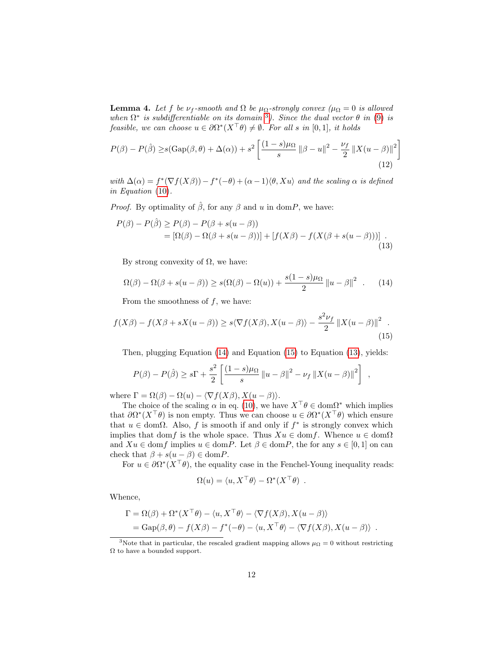**Lemma 4.** Let f be  $\nu_f$ -smooth and  $\Omega$  be  $\mu_\Omega$ -strongly convex ( $\mu_\Omega = 0$  is allowed when  $\Omega^*$  is subdifferentiable on its domain <sup>[3](#page-11-0)</sup>). Since the dual vector  $\theta$  in [\(9\)](#page-8-0) is feasible, we can choose  $u \in \partial \Omega^*(X^\top \theta) \neq \emptyset$ . For all s in  $[0,1]$ , it holds

<span id="page-11-4"></span>
$$
P(\beta) - P(\hat{\beta}) \ge s(\text{Gap}(\beta, \theta) + \Delta(\alpha)) + s^2 \left[ \frac{(1-s)\mu_{\Omega}}{s} \left\| \beta - u \right\|^2 - \frac{\nu_f}{2} \left\| X(u - \beta) \right\|^2 \right]
$$
\n(12)

with  $\Delta(\alpha) = f^*(\nabla f(X\beta)) - f^*(-\theta) + (\alpha - 1)\langle \theta, Xu \rangle$  and the scaling  $\alpha$  is defined in Equation [\(10\)](#page-8-2).

*Proof.* By optimality of  $\hat{\beta}$ , for any  $\beta$  and u in domP, we have:

$$
P(\beta) - P(\hat{\beta}) \ge P(\beta) - P(\beta + s(u - \beta))
$$
  
= 
$$
[\Omega(\beta) - \Omega(\beta + s(u - \beta))] + [f(X\beta) - f(X(\beta + s(u - \beta)))]
$$
 (13)

<span id="page-11-3"></span>By strong convexity of  $\Omega$ , we have:

<span id="page-11-1"></span>
$$
\Omega(\beta) - \Omega(\beta + s(u - \beta)) \ge s(\Omega(\beta) - \Omega(u)) + \frac{s(1 - s)\mu_{\Omega}}{2} ||u - \beta||^2 \quad . \tag{14}
$$

From the smoothness of  $f$ , we have:

$$
f(X\beta) - f(X\beta + sX(u - \beta)) \ge s\langle \nabla f(X\beta), X(u - \beta) \rangle - \frac{s^2 \nu_f}{2} ||X(u - \beta)||^2
$$
 (15)

Then, plugging Equation [\(14\)](#page-11-1) and Equation [\(15\)](#page-11-2) to Equation [\(13\)](#page-11-3), yields:

$$
P(\beta) - P(\hat{\beta}) \ge s\Gamma + \frac{s^2}{2} \left[ \frac{(1-s)\mu_{\Omega}}{s} ||u - \beta||^2 - \nu_f ||X(u - \beta)||^2 \right],
$$

where  $\Gamma = \Omega(\beta) - \Omega(u) - \langle \nabla f(X\beta), X(u - \beta) \rangle$ .

The choice of the scaling  $\alpha$  in eq. [\(10\)](#page-8-2), we have  $X^{\top}\theta \in \text{dom}\Omega^*$  which implies that  $\partial \Omega^*(X^\top \theta)$  is non empty. Thus we can choose  $u \in \partial \Omega^*(X^\top \theta)$  which ensure that  $u \in \text{dom}\Omega$ . Also, f is smooth if and only if  $f^*$  is strongly convex which implies that domf is the whole space. Thus  $Xu \in \text{dom}f$ . Whence  $u \in \text{dom}\Omega$ and  $Xu \in \text{dom}f$  implies  $u \in \text{dom}P$ . Let  $\beta \in \text{dom}P$ , the for any  $s \in [0,1]$  on can check that  $\beta + s(u - \beta) \in \text{dom} P$ .

For  $u \in \partial \Omega^*(X^\top \theta)$ , the equality case in the Fenchel-Young inequality reads:

<span id="page-11-2"></span>
$$
\Omega(u) = \langle u, X^{\top} \theta \rangle - \Omega^* (X^{\top} \theta) .
$$

Whence,

$$
\Gamma = \Omega(\beta) + \Omega^*(X^\top \theta) - \langle u, X^\top \theta \rangle - \langle \nabla f(X\beta), X(u - \beta) \rangle
$$
  
=  $\text{Gap}(\beta, \theta) - f(X\beta) - f^*(-\theta) - \langle u, X^\top \theta \rangle - \langle \nabla f(X\beta), X(u - \beta) \rangle$ .

<span id="page-11-0"></span><sup>&</sup>lt;sup>3</sup>Note that in particular, the rescaled gradient mapping allows  $\mu_{\Omega} = 0$  without restricting  $\Omega$  to have a bounded support.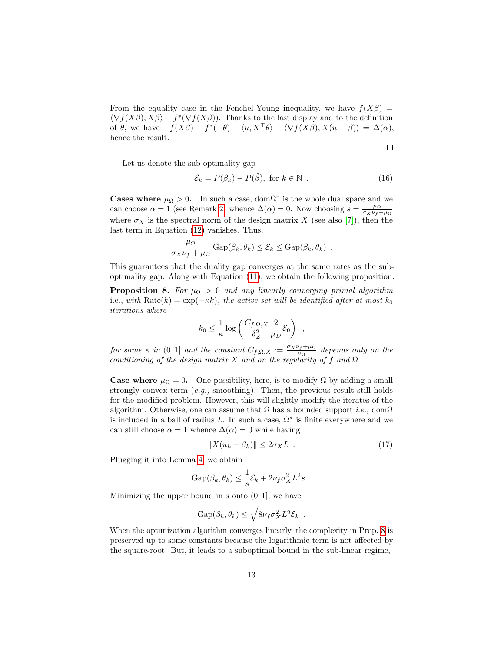From the equality case in the Fenchel-Young inequality, we have  $f(X\beta) =$  $\langle \nabla f(X\beta), X\beta \rangle - f^*(\nabla f(X\beta)).$  Thanks to the last display and to the definition of  $\theta$ , we have  $-f(X\beta) - f^*(-\theta) - \langle u, X^{\top}\theta \rangle - \langle \nabla f(X\beta), X(u - \beta) \rangle = \Delta(\alpha)$ , hence the result.

Let us denote the sub-optimality gap

$$
\mathcal{E}_k = P(\beta_k) - P(\hat{\beta}), \text{ for } k \in \mathbb{N} . \tag{16}
$$

 $\Box$ 

**Cases where**  $\mu_{\Omega} > 0$ . In such a case, dom $\Omega^*$  is the whole dual space and we can choose  $\alpha = 1$  (see Remark [2\)](#page-8-5) whence  $\Delta(\alpha) = 0$ . Now choosing  $s = \frac{\mu_{\Omega}}{\sigma_X \nu_f + \mu_{\Omega}}$ where  $\sigma_X$  is the spectral norm of the design matrix X (see also [\[7\]](#page-20-7)), then the last term in Equation [\(12\)](#page-11-4) vanishes. Thus,

$$
\frac{\mu_{\Omega}}{\sigma_X \nu_f + \mu_{\Omega}} \text{Gap}(\beta_k, \theta_k) \leq \mathcal{E}_k \leq \text{Gap}(\beta_k, \theta_k) .
$$

This guarantees that the duality gap converges at the same rates as the suboptimality gap. Along with Equation [\(11\)](#page-10-2), we obtain the following proposition.

<span id="page-12-0"></span>**Proposition 8.** For  $\mu_{\Omega} > 0$  and any linearly converging primal algorithm i.e., with Rate $(k) = \exp(-\kappa k)$ , the active set will be identified after at most  $k_0$ iterations where

$$
k_0 \leq \frac{1}{\kappa} \log \left( \frac{C_{f,\Omega,X}}{\delta_Z^2} \frac{2}{\mu D} \mathcal{E}_0 \right)
$$

for some  $\kappa$  in  $(0,1]$  and the constant  $C_{f,\Omega,X} := \frac{\sigma_X \nu_f + \mu_\Omega}{\mu_\Omega}$  $\frac{\partial f + \mu_{\Omega}}{\mu_{\Omega}}$  depends only on the conditioning of the design matrix X and on the regularity of f and  $\Omega$ .

**Case where**  $\mu_{\Omega} = 0$ . One possibility, here, is to modify  $\Omega$  by adding a small strongly convex term  $(e.g.,$  smoothing). Then, the previous result still holds for the modified problem. However, this will slightly modify the iterates of the algorithm. Otherwise, one can assume that  $\Omega$  has a bounded support *i.e.*, dom $\Omega$ is included in a ball of radius L. In such a case,  $\Omega^*$  is finite everywhere and we can still choose  $\alpha = 1$  whence  $\Delta(\alpha) = 0$  while having

$$
||X(u_k - \beta_k)|| \le 2\sigma_X L \t . \t (17)
$$

<span id="page-12-2"></span>,

Plugging it into Lemma [4,](#page-10-3) we obtain

$$
Gap(\beta_k, \theta_k) \leq \frac{1}{s} \mathcal{E}_k + 2\nu_f \sigma_X^2 L^2 s.
$$

Minimizing the upper bound in  $s$  onto  $(0, 1]$ , we have

$$
Gap(\beta_k, \theta_k) \leq \sqrt{8\nu_f \sigma_X^2 L^2 \mathcal{E}_k} .
$$

<span id="page-12-1"></span>When the optimization algorithm converges linearly, the complexity in Prop. [8](#page-12-0) is preserved up to some constants because the logarithmic term is not affected by the square-root. But, it leads to a suboptimal bound in the sub-linear regime,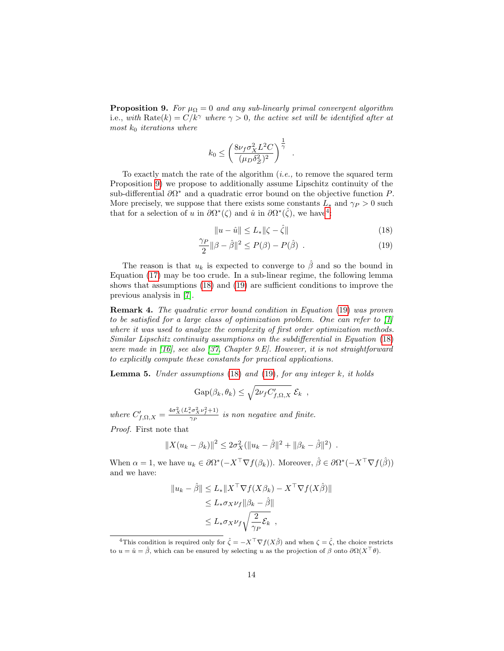**Proposition 9.** For  $\mu_{\Omega} = 0$  and any sub-linearly primal convergent algorithm i.e., with Rate $(k) = C/k^{\gamma}$  where  $\gamma > 0$ , the active set will be identified after at most  $k_0$  iterations where

$$
k_0 \leq \left(\frac{8\nu_f \sigma_X^2 L^2 C}{(\mu_D \delta_Z^2)^2}\right)^{\frac{1}{\gamma}} .
$$

To exactly match the rate of the algorithm  $(i.e.,$  to remove the squared term Proposition [9\)](#page-12-1) we propose to additionally assume Lipschitz continuity of the sub-differential  $\partial \Omega^*$  and a quadratic error bound on the objective function P. More precisely, we suppose that there exists some constants  $L_*$  and  $\gamma_P > 0$  such that for a selection of u in  $\partial \Omega^*(\zeta)$  and  $\hat{u}$  in  $\partial \Omega^*(\hat{\zeta})$ , we have<sup>[4](#page-13-0)</sup>:

<span id="page-13-2"></span><span id="page-13-1"></span>
$$
||u - \hat{u}|| \le L_* ||\zeta - \hat{\zeta}|| \tag{18}
$$

$$
\frac{\gamma_P}{2} \|\beta - \hat{\beta}\|^2 \le P(\beta) - P(\hat{\beta}) \tag{19}
$$

The reason is that  $u_k$  is expected to converge to  $\hat{\beta}$  and so the bound in Equation [\(17\)](#page-12-2) may be too crude. In a sub-linear regime, the following lemma shows that assumptions [\(18\)](#page-13-1) and [\(19\)](#page-13-2) are sufficient conditions to improve the previous analysis in [\[7\]](#page-20-7).

Remark 4. The quadratic error bound condition in Equation [\(19\)](#page-13-2) was proven to be satisfied for a large class of optimization problem. One can refer to [\[1\]](#page-20-8) where it was used to analyze the complexity of first order optimization methods. Similar Lipschitz continuity assumptions on the subdifferential in Equation [\(18\)](#page-13-1) were made in [\[16\]](#page-21-10), see also [\[37,](#page-22-8) Chapter 9.E]. However, it is not straightforward to explicitly compute these constants for practical applications.

**Lemma 5.** Under assumptions  $(18)$  and  $(19)$ , for any integer k, it holds

$$
Gap(\beta_k, \theta_k) \leq \sqrt{2\nu_f C'_{f,\Omega,X}} \mathcal{E}_k ,
$$

where  $C'_{f,\Omega,X} = \frac{4\sigma_X^2 (L_*^2 \sigma_X^2 \nu_f^2 + 1)}{\gamma_P}$  $\frac{\sqrt{a^2 + b^2 + 1}}{\sqrt{p}}$  is non negative and finite.

Proof. First note that

$$
||X(u_k - \beta_k)||^2 \leq 2\sigma_X^2(||u_k - \hat{\beta}||^2 + ||\beta_k - \hat{\beta}||^2) .
$$

When  $\alpha = 1$ , we have  $u_k \in \partial \Omega^* (-X^\top \nabla f(\beta_k))$ . Moreover,  $\hat{\beta} \in \partial \Omega^* (-X^\top \nabla f(\hat{\beta}))$ and we have:

$$
||u_k - \hat{\beta}|| \le L_* ||X^\top \nabla f(X\beta_k) - X^\top \nabla f(X\hat{\beta})||
$$
  
\n
$$
\le L_* \sigma_X \nu_f ||\beta_k - \hat{\beta}||
$$
  
\n
$$
\le L_* \sigma_X \nu_f \sqrt{\frac{2}{\gamma_P} \mathcal{E}_k},
$$

<span id="page-13-0"></span><sup>&</sup>lt;sup>4</sup>This condition is required only for  $\hat{\zeta} = -X^{\top}\nabla f(X\hat{\beta})$  and when  $\zeta = \hat{\zeta}$ , the choice restricts to  $u = \hat{u} = \hat{\beta}$ , which can be ensured by selecting u as the projection of  $\beta$  onto  $\partial \Omega(X^{\top} \theta)$ .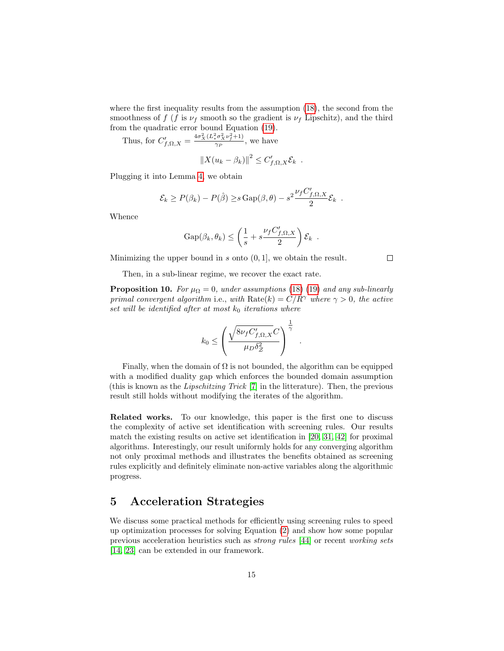where the first inequality results from the assumption [\(18\)](#page-13-1), the second from the smoothness of f (f is  $\nu_f$  smooth so the gradient is  $\nu_f$  Lipschitz), and the third from the quadratic error bound Equation [\(19\)](#page-13-2).

Thus, for  $C'_{f,\Omega,X} = \frac{4\sigma_X^2 (L_*^2 \sigma_X^2 \nu_f^2 + 1)}{\gamma_P}$  $\frac{\sqrt{y} \times \sqrt{y} + 1}{\gamma_P}$ , we have

$$
||X(u_k - \beta_k)||^2 \leq C'_{f,\Omega,X} \mathcal{E}_k.
$$

Plugging it into Lemma [4,](#page-10-3) we obtain

$$
\mathcal{E}_k \ge P(\beta_k) - P(\hat{\beta}) \ge s \operatorname{Gap}(\beta, \theta) - s^2 \frac{\nu_f C'_{f, \Omega, X}}{2} \mathcal{E}_k.
$$

Whence

$$
Gap(\beta_k, \theta_k) \leq \left(\frac{1}{s} + s \frac{\nu_f C'_{f,\Omega,X}}{2}\right) \mathcal{E}_k.
$$

Minimizing the upper bound in  $s$  onto  $(0, 1]$ , we obtain the result.

 $\Box$ 

Then, in a sub-linear regime, we recover the exact rate.

**Proposition 10.** For  $\mu_{\Omega} = 0$ , under assumptions [\(18\)](#page-13-1) [\(19\)](#page-13-2) and any sub-linearly primal convergent algorithm i.e., with  $Rate(k) = C/R^{\gamma}$  where  $\gamma > 0$ , the active set will be identified after at most  $k_0$  iterations where

$$
k_0 \le \left(\frac{\sqrt{8\nu_f C'_{f,\Omega,X}}C}{\mu_D \delta_Z^2}\right)^{\frac{1}{\gamma}}
$$

.

Finally, when the domain of  $\Omega$  is not bounded, the algorithm can be equipped with a modified duality gap which enforces the bounded domain assumption (this is known as the Lipschitzing Trick [\[7\]](#page-20-7) in the litterature). Then, the previous result still holds without modifying the iterates of the algorithm.

Related works. To our knowledge, this paper is the first one to discuss the complexity of active set identification with screening rules. Our results match the existing results on active set identification in [\[20,](#page-21-9) [31,](#page-22-9) [42\]](#page-23-5) for proximal algorithms. Interestingly, our result uniformly holds for any converging algorithm not only proximal methods and illustrates the benefits obtained as screening rules explicitly and definitely eliminate non-active variables along the algorithmic progress.

# <span id="page-14-0"></span>5 Acceleration Strategies

We discuss some practical methods for efficiently using screening rules to speed up optimization processes for solving Equation [\(2\)](#page-2-0) and show how some popular previous acceleration heuristics such as strong rules [\[44\]](#page-23-2) or recent working sets [\[14,](#page-21-3) [23\]](#page-21-8) can be extended in our framework.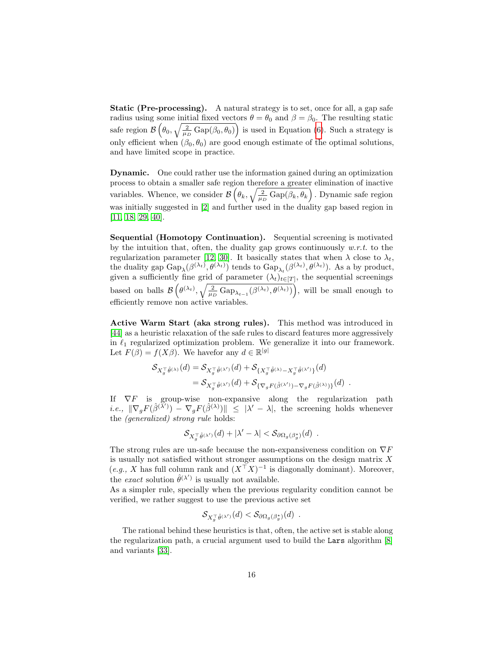Static (Pre-processing). A natural strategy is to set, once for all, a gap safe radius using some initial fixed vectors  $\theta = \theta_0$  and  $\beta = \beta_0$ . The resulting static safe region  $\mathcal{B}\left(\theta_0, \sqrt{\frac{2}{\mu_D} \text{Gap}(\beta_0, \theta_0)}\right)$  is used in Equation [\(6\)](#page-7-0). Such a strategy is only efficient when  $(\beta_0, \theta_0)$  are good enough estimate of the optimal solutions, and have limited scope in practice.

Dynamic. One could rather use the information gained during an optimization process to obtain a smaller safe region therefore a greater elimination of inactive variables. Whence, we consider  $\mathcal{B}\left(\theta_k, \sqrt{\frac{2}{\mu_D} \text{Gap}(\beta_k, \theta_k)}\right)$ . Dynamic safe region was initially suggested in [\[2\]](#page-20-9) and further used in the duality gap based region in [\[11,](#page-20-6) [18,](#page-21-11) [29,](#page-22-7) [40\]](#page-22-2).

Sequential (Homotopy Continuation). Sequential screening is motivated by the intuition that, often, the duality gap grows continuously  $w.r.t.$  to the regularization parameter [\[12,](#page-21-12) [30\]](#page-22-10). It basically states that when  $\lambda$  close to  $\lambda_t$ , the duality gap  $\text{Gap}_{\lambda}(\beta^{(\lambda_t)}, \theta^{(\lambda_t)})$  tends to  $\text{Gap}_{\lambda_t}(\beta^{(\lambda_t)}, \theta^{(\lambda_t)})$ . As a by product, given a sufficiently fine grid of parameter  $(\lambda_t)_{t\in[T]}$ , the sequential screenings based on balls  $\mathcal{B}\left(\theta^{(\lambda_t)}, \sqrt{\frac{2}{\mu_D} \text{Gap}_{\lambda_{t-1}}(\beta^{(\lambda_t)}, \theta^{(\lambda_t)})}\right)$ , will be small enough to efficiently remove non active variables.

Active Warm Start (aka strong rules). This method was introduced in [\[44\]](#page-23-2) as a heuristic relaxation of the safe rules to discard features more aggressively in  $\ell_1$  regularized optimization problem. We generalize it into our framework. Let  $F(\beta) = f(X\beta)$ . We havefor any  $d \in \mathbb{R}^{|g|}$ 

$$
\mathcal{S}_{X_g^{\top}\hat{\theta}^{(\lambda)}}(d) = \mathcal{S}_{X_g^{\top}\hat{\theta}^{(\lambda')}}(d) + \mathcal{S}_{\{X_g^{\top}\hat{\theta}^{(\lambda)} - X_g^{\top}\hat{\theta}^{(\lambda')} \}}(d) \n= \mathcal{S}_{X_g^{\top}\hat{\theta}^{(\lambda')}}(d) + \mathcal{S}_{\{\nabla_g F(\hat{\beta}^{(\lambda')}) - \nabla_g F(\hat{\beta}^{(\lambda)})\}}(d) .
$$

If  $\nabla F$  is group-wise non-expansive along the regularization path *i.e.*,  $\|\nabla_g F(\hat{\beta}^{(\lambda')}) - \nabla_g F(\hat{\beta}^{(\lambda)})\| \leq |\lambda' - \lambda|$ , the screening holds whenever the (generalized) strong rule holds:

$$
\mathcal{S}_{X_g^{\top}\hat{\theta}^{(\lambda')}}(d) + |\lambda' - \lambda| < \mathcal{S}_{\partial\Omega_g(\beta_g^*)}(d) \enspace .
$$

The strong rules are un-safe because the non-expansiveness condition on  $\nabla F$ is usually not satisfied without stronger assumptions on the design matrix X  $(e.g., X \text{ has full column rank and } (X^{\top}X)^{-1}$  is diagonally dominant). Moreover, the *exact* solution  $\hat{\theta}^{(\lambda')}$  is usually not available.

As a simpler rule, specially when the previous regularity condition cannot be verified, we rather suggest to use the previous active set

$$
\mathcal{S}_{X_g^\top \hat{\theta}^{(\lambda')}}(d) < \mathcal{S}_{\partial \Omega_g(\beta_g^\star)}(d) \enspace .
$$

The rational behind these heuristics is that, often, the active set is stable along the regularization path, a crucial argument used to build the Lars algorithm [\[8\]](#page-20-10) and variants [\[33\]](#page-22-11).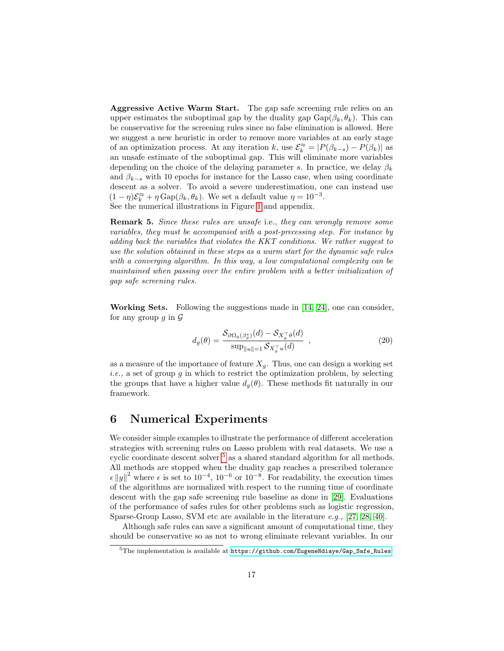Aggressive Active Warm Start. The gap safe screening rule relies on an upper estimates the suboptimal gap by the duality gap  $\text{Gap}(\beta_k, \theta_k)$ . This can be conservative for the screening rules since no false elimination is allowed. Here we suggest a new heuristic in order to remove more variables at an early stage of an optimization process. At any iteration k, use  $\mathcal{E}_k^{\approx} = |P(\beta_{k-s}) - P(\beta_k)|$  as an unsafe estimate of the suboptimal gap. This will eliminate more variables depending on the choice of the delaying parameter s. In practice, we delay  $\beta_k$ and  $\beta_{k-s}$  with 10 epochs for instance for the Lasso case, when using coordinate descent as a solver. To avoid a severe underestimation, one can instead use  $(1 - \eta)\mathcal{E}_k^{\approx} + \eta \operatorname{Gap}(\beta_k, \theta_k)$ . We set a default value  $\eta = 10^{-3}$ . See the numerical illustrations in Figure [1](#page-17-0) and appendix.

Remark 5. Since these rules are unsafe i.e., they can wrongly remove some variables, they must be accompanied with a post-precessing step. For instance by adding back the variables that violates the KKT conditions. We rather suggest to use the solution obtained in these steps as a warm start for the dynamic safe rules with a converging algorithm. In this way, a low computational complexity can be maintained when passing over the entire problem with a better initialization of gap safe screening rules.

Working Sets. Following the suggestions made in [\[14,](#page-21-3) [24\]](#page-21-5), one can consider, for any group q in  $\mathcal G$ 

$$
d_g(\theta) = \frac{\mathcal{S}_{\partial \Omega_g(\beta_g^*)}(d) - \mathcal{S}_{X_g^{\top}\theta}(d)}{\sup_{\|u\|=1} \mathcal{S}_{X_g^{\top}u}(d)} ,
$$
\n(20)

as a measure of the importance of feature  $X<sub>a</sub>$ . Thus, one can design a working set *i.e.*, a set of group  $g$  in which to restrict the optimization problem, by selecting the groups that have a higher value  $d_q(\theta)$ . These methods fit naturally in our framework.

# 6 Numerical Experiments

We consider simple examples to illustrate the performance of different acceleration strategies with screening rules on Lasso problem with real datasets. We use a cyclic coordinate descent solver [5](#page-16-0) as a shared standard algorithm for all methods. All methods are stopped when the duality gap reaches a prescribed tolerance  $\epsilon ||y||^2$  where  $\epsilon$  is set to 10<sup>-4</sup>, 10<sup>-6</sup> or 10<sup>-8</sup>. For readability, the execution times of the algorithms are normalized with respect to the running time of coordinate descent with the gap safe screening rule baseline as done in [\[29\]](#page-22-7). Evaluations of the performance of safes rules for other problems such as logistic regression, Sparse-Group Lasso, SVM etc are available in the literature e.g., [\[27,](#page-22-12) [28,](#page-22-13) [40\]](#page-22-2).

Although safe rules can save a significant amount of computational time, they should be conservative so as not to wrong eliminate relevant variables. In our

<span id="page-16-0"></span> $5$ The implementation is available at  $https://github.com/EugeneNdiaye/Gap_Safe_Rules$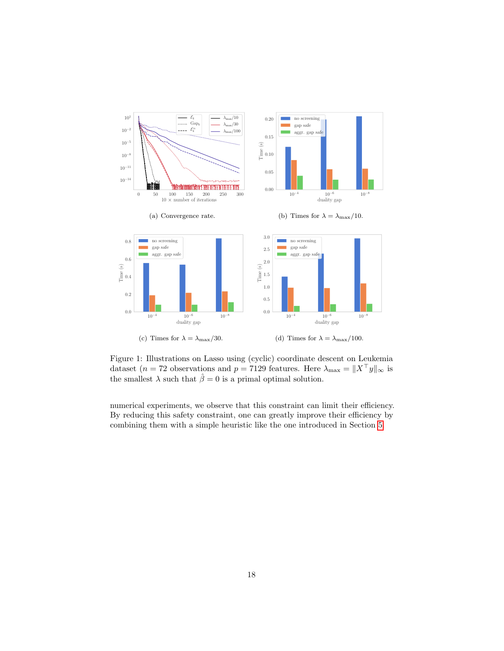

<span id="page-17-0"></span>Figure 1: Illustrations on Lasso using (cyclic) coordinate descent on Leukemia dataset (n = 72 observations and p = 7129 features. Here  $\lambda_{\text{max}} = ||X^{\top}y||_{\infty}$  is the smallest  $\lambda$  such that  $\hat{\beta} = 0$  is a primal optimal solution.

numerical experiments, we observe that this constraint can limit their efficiency. By reducing this safety constraint, one can greatly improve their efficiency by combining them with a simple heuristic like the one introduced in Section [5.](#page-14-0)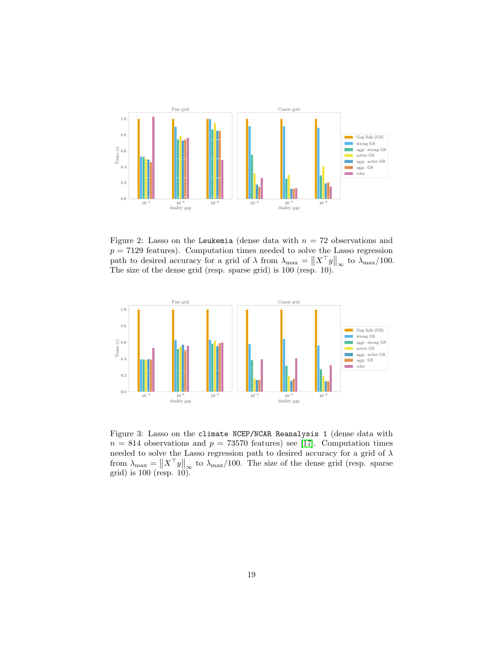

Figure 2: Lasso on the Leukemia (dense data with  $n = 72$  observations and  $p = 7129$  features). Computation times needed to solve the Lasso regression path to desired accuracy for a grid of  $\lambda$  from  $\lambda_{\text{max}} = \|X^{\top}y\|_{\infty}$  to  $\lambda_{\text{max}}/100$ . The size of the dense grid (resp. sparse grid) is 100 (resp. 10).



Figure 3: Lasso on the climate NCEP/NCAR Reanalysis 1 (dense data with  $n = 814$  observations and  $p = 73570$  features) see [\[17\]](#page-21-13). Computation times needed to solve the Lasso regression path to desired accuracy for a grid of  $\lambda$ from  $\lambda_{\text{max}} = ||X^\top y||_{\infty}$  to  $\lambda_{\text{max}}/100$ . The size of the dense grid (resp. sparse grid) is 100 (resp. 10).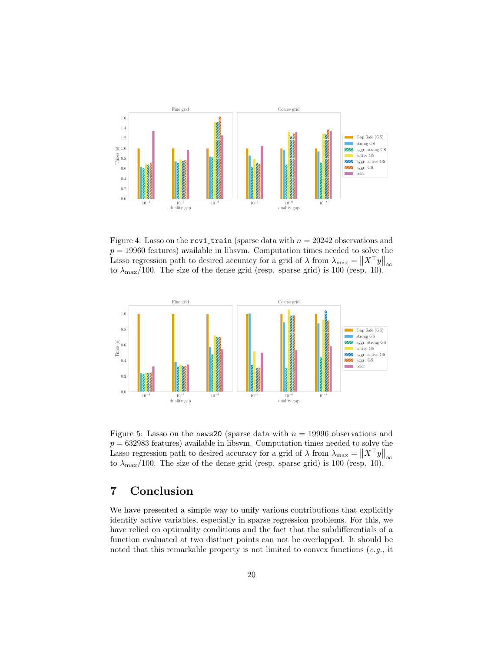

Figure 4: Lasso on the  $\text{rcv1-train}$  (sparse data with  $n = 20242$  observations and  $p = 19960$  features) available in libsvm. Computation times needed to solve the Lasso regression path to desired accuracy for a grid of  $\lambda$  from  $\lambda_{\max} = \|X^{\top}y\|_{\infty}$ to  $\lambda_{\text{max}}/100$ . The size of the dense grid (resp. sparse grid) is 100 (resp. 10).



Figure 5: Lasso on the news20 (sparse data with  $n = 19996$  observations and  $p = 632983$  features) available in libsvm. Computation times needed to solve the Lasso regression path to desired accuracy for a grid of  $\lambda$  from  $\lambda_{\text{max}} = \|X^\top y\|_{\infty}$ to  $\lambda_{\text{max}}/100$ . The size of the dense grid (resp. sparse grid) is 100 (resp. 10).

# 7 Conclusion

We have presented a simple way to unify various contributions that explicitly identify active variables, especially in sparse regression problems. For this, we have relied on optimality conditions and the fact that the subdifferentials of a function evaluated at two distinct points can not be overlapped. It should be noted that this remarkable property is not limited to convex functions (e.g., it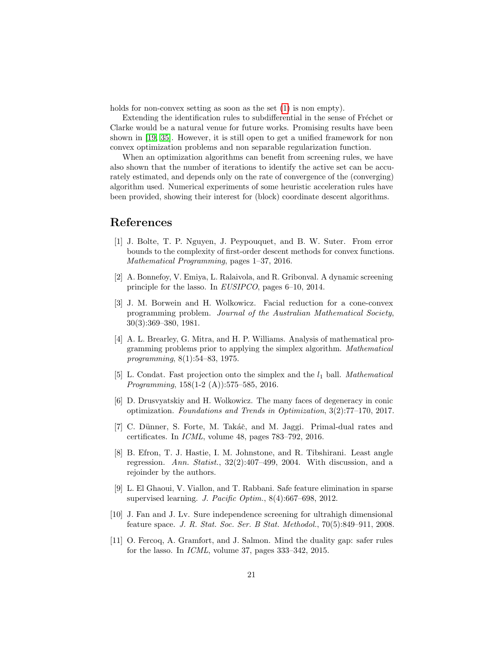holds for non-convex setting as soon as the set  $(1)$  is non empty).

Extending the identification rules to subdifferential in the sense of Fréchet or Clarke would be a natural venue for future works. Promising results have been shown in [\[19,](#page-21-14) [35\]](#page-22-14). However, it is still open to get a unified framework for non convex optimization problems and non separable regularization function.

When an optimization algorithms can benefit from screening rules, we have also shown that the number of iterations to identify the active set can be accurately estimated, and depends only on the rate of convergence of the (converging) algorithm used. Numerical experiments of some heuristic acceleration rules have been provided, showing their interest for (block) coordinate descent algorithms.

# References

- <span id="page-20-8"></span>[1] J. Bolte, T. P. Nguyen, J. Peypouquet, and B. W. Suter. From error bounds to the complexity of first-order descent methods for convex functions. Mathematical Programming, pages 1–37, 2016.
- <span id="page-20-9"></span>[2] A. Bonnefoy, V. Emiya, L. Ralaivola, and R. Gribonval. A dynamic screening principle for the lasso. In EUSIPCO, pages 6–10, 2014.
- <span id="page-20-1"></span>[3] J. M. Borwein and H. Wolkowicz. Facial reduction for a cone-convex programming problem. Journal of the Australian Mathematical Society, 30(3):369–380, 1981.
- <span id="page-20-0"></span>[4] A. L. Brearley, G. Mitra, and H. P. Williams. Analysis of mathematical programming problems prior to applying the simplex algorithm. Mathematical programming, 8(1):54–83, 1975.
- <span id="page-20-3"></span>[5] L. Condat. Fast projection onto the simplex and the  $l_1$  ball. Mathematical Programming, 158(1-2 (A)):575–585, 2016.
- <span id="page-20-2"></span>[6] D. Drusvyatskiy and H. Wolkowicz. The many faces of degeneracy in conic optimization. Foundations and Trends in Optimization, 3(2):77–170, 2017.
- <span id="page-20-7"></span>[7] C. D¨unner, S. Forte, M. Tak´aˇc, and M. Jaggi. Primal-dual rates and certificates. In ICML, volume 48, pages 783–792, 2016.
- <span id="page-20-10"></span>[8] B. Efron, T. J. Hastie, I. M. Johnstone, and R. Tibshirani. Least angle regression. Ann. Statist., 32(2):407–499, 2004. With discussion, and a rejoinder by the authors.
- <span id="page-20-5"></span>[9] L. El Ghaoui, V. Viallon, and T. Rabbani. Safe feature elimination in sparse supervised learning. J. Pacific Optim., 8(4):667–698, 2012.
- <span id="page-20-4"></span>[10] J. Fan and J. Lv. Sure independence screening for ultrahigh dimensional feature space. J. R. Stat. Soc. Ser. B Stat. Methodol., 70(5):849–911, 2008.
- <span id="page-20-6"></span>[11] O. Fercoq, A. Gramfort, and J. Salmon. Mind the duality gap: safer rules for the lasso. In ICML, volume 37, pages 333–342, 2015.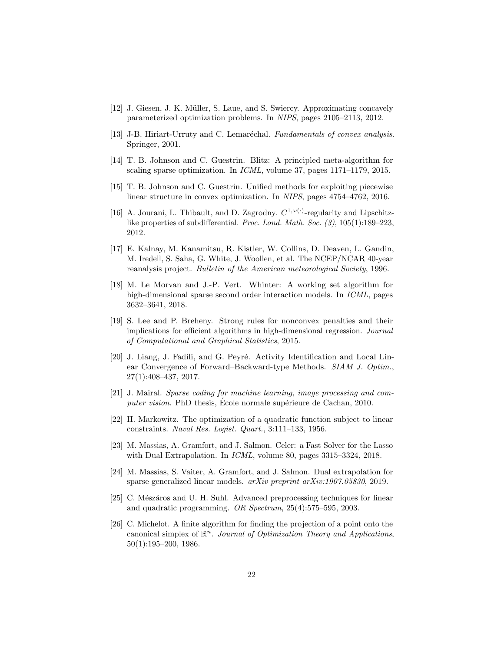- <span id="page-21-12"></span>[12] J. Giesen, J. K. Müller, S. Laue, and S. Swiercy. Approximating concavely parameterized optimization problems. In NIPS, pages 2105–2113, 2012.
- <span id="page-21-6"></span>[13] J-B. Hiriart-Urruty and C. Lemaréchal. Fundamentals of convex analysis. Springer, 2001.
- <span id="page-21-3"></span>[14] T. B. Johnson and C. Guestrin. Blitz: A principled meta-algorithm for scaling sparse optimization. In ICML, volume 37, pages 1171–1179, 2015.
- <span id="page-21-4"></span>[15] T. B. Johnson and C. Guestrin. Unified methods for exploiting piecewise linear structure in convex optimization. In NIPS, pages 4754–4762, 2016.
- <span id="page-21-10"></span>[16] A. Jourani, L. Thibault, and D. Zagrodny.  $C^{1,\omega(\cdot)}$ -regularity and Lipschitzlike properties of subdifferential. Proc. Lond. Math. Soc. (3), 105(1):189–223, 2012.
- <span id="page-21-13"></span>[17] E. Kalnay, M. Kanamitsu, R. Kistler, W. Collins, D. Deaven, L. Gandin, M. Iredell, S. Saha, G. White, J. Woollen, et al. The NCEP/NCAR 40-year reanalysis project. Bulletin of the American meteorological Society, 1996.
- <span id="page-21-11"></span>[18] M. Le Morvan and J.-P. Vert. Whinter: A working set algorithm for high-dimensional sparse second order interaction models. In ICML, pages 3632–3641, 2018.
- <span id="page-21-14"></span>[19] S. Lee and P. Breheny. Strong rules for nonconvex penalties and their implications for efficient algorithms in high-dimensional regression. Journal of Computational and Graphical Statistics, 2015.
- <span id="page-21-9"></span>[20] J. Liang, J. Fadili, and G. Peyré. Activity Identification and Local Linear Convergence of Forward–Backward-type Methods. SIAM J. Optim., 27(1):408–437, 2017.
- <span id="page-21-7"></span>[21] J. Mairal. Sparse coding for machine learning, image processing and computer vision. PhD thesis, Ecole normale supérieure de Cachan, 2010.
- <span id="page-21-0"></span>[22] H. Markowitz. The optimization of a quadratic function subject to linear constraints. Naval Res. Logist. Quart., 3:111–133, 1956.
- <span id="page-21-8"></span>[23] M. Massias, A. Gramfort, and J. Salmon. Celer: a Fast Solver for the Lasso with Dual Extrapolation. In *ICML*, volume 80, pages 3315–3324, 2018.
- <span id="page-21-5"></span>[24] M. Massias, S. Vaiter, A. Gramfort, and J. Salmon. Dual extrapolation for sparse generalized linear models. arXiv preprint arXiv:1907.05830, 2019.
- <span id="page-21-1"></span>[25] C. Mészáros and U. H. Suhl. Advanced preprocessing techniques for linear and quadratic programming. OR Spectrum, 25(4):575–595, 2003.
- <span id="page-21-2"></span>[26] C. Michelot. A finite algorithm for finding the projection of a point onto the canonical simplex of  $\mathbb{R}^n$ . Journal of Optimization Theory and Applications, 50(1):195–200, 1986.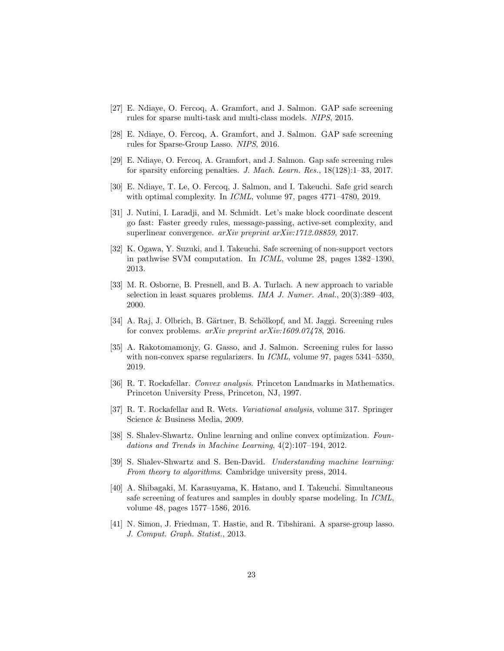- <span id="page-22-12"></span>[27] E. Ndiaye, O. Fercoq, A. Gramfort, and J. Salmon. GAP safe screening rules for sparse multi-task and multi-class models. NIPS, 2015.
- <span id="page-22-13"></span>[28] E. Ndiaye, O. Fercoq, A. Gramfort, and J. Salmon. GAP safe screening rules for Sparse-Group Lasso. NIPS, 2016.
- <span id="page-22-7"></span>[29] E. Ndiaye, O. Fercoq, A. Gramfort, and J. Salmon. Gap safe screening rules for sparsity enforcing penalties. J. Mach. Learn. Res., 18(128):1–33, 2017.
- <span id="page-22-10"></span>[30] E. Ndiaye, T. Le, O. Fercoq, J. Salmon, and I. Takeuchi. Safe grid search with optimal complexity. In *ICML*, volume 97, pages 4771–4780, 2019.
- <span id="page-22-9"></span>[31] J. Nutini, I. Laradji, and M. Schmidt. Let's make block coordinate descent go fast: Faster greedy rules, message-passing, active-set complexity, and superlinear convergence. arXiv preprint arXiv:1712.08859, 2017.
- <span id="page-22-0"></span>[32] K. Ogawa, Y. Suzuki, and I. Takeuchi. Safe screening of non-support vectors in pathwise SVM computation. In ICML, volume 28, pages 1382–1390, 2013.
- <span id="page-22-11"></span>[33] M. R. Osborne, B. Presnell, and B. A. Turlach. A new approach to variable selection in least squares problems. IMA J. Numer. Anal., 20(3):389–403, 2000.
- <span id="page-22-1"></span>[34] A. Raj, J. Olbrich, B. Gärtner, B. Schölkopf, and M. Jaggi. Screening rules for convex problems. arXiv preprint arXiv:1609.07478, 2016.
- <span id="page-22-14"></span>[35] A. Rakotomamonjy, G. Gasso, and J. Salmon. Screening rules for lasso with non-convex sparse regularizers. In *ICML*, volume 97, pages 5341–5350, 2019.
- <span id="page-22-5"></span>[36] R. T. Rockafellar. Convex analysis. Princeton Landmarks in Mathematics. Princeton University Press, Princeton, NJ, 1997.
- <span id="page-22-8"></span>[37] R. T. Rockafellar and R. Wets. Variational analysis, volume 317. Springer Science & Business Media, 2009.
- <span id="page-22-4"></span>[38] S. Shalev-Shwartz. Online learning and online convex optimization. Foundations and Trends in Machine Learning, 4(2):107–194, 2012.
- <span id="page-22-3"></span>[39] S. Shalev-Shwartz and S. Ben-David. Understanding machine learning: From theory to algorithms. Cambridge university press, 2014.
- <span id="page-22-2"></span>[40] A. Shibagaki, M. Karasuyama, K. Hatano, and I. Takeuchi. Simultaneous safe screening of features and samples in doubly sparse modeling. In ICML, volume 48, pages 1577–1586, 2016.
- <span id="page-22-6"></span>[41] N. Simon, J. Friedman, T. Hastie, and R. Tibshirani. A sparse-group lasso. J. Comput. Graph. Statist., 2013.